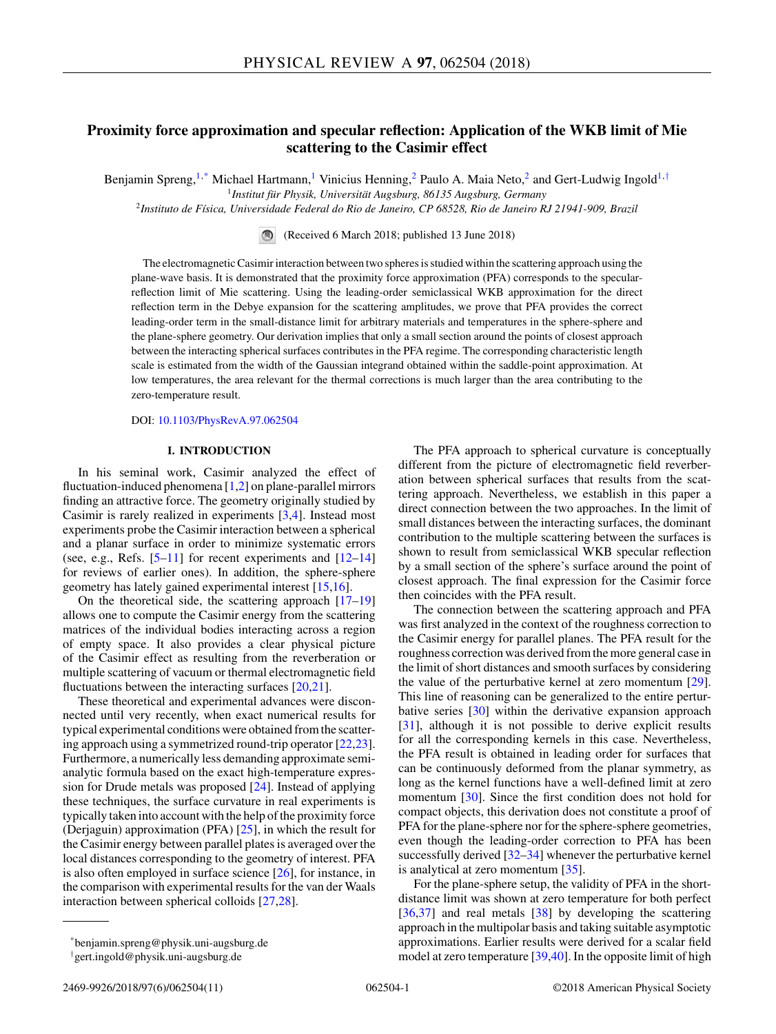# **Proximity force approximation and specular reflection: Application of the WKB limit of Mie scattering to the Casimir effect**

Benjamin Spreng,<sup>1,\*</sup> Michael Hartmann,<sup>1</sup> Vinicius Henning,<sup>2</sup> Paulo A. Maia Neto,<sup>2</sup> and Gert-Ludwig Ingold<sup>1,†</sup>

<sup>1</sup>*Institut für Physik, Universität Augsburg, 86135 Augsburg, Germany*

<sup>2</sup>*Instituto de Física, Universidade Federal do Rio de Janeiro, CP 68528, Rio de Janeiro RJ 21941-909, Brazil*

(Received 6 March 2018; published 13 June 2018)

The electromagnetic Casimir interaction between two spheres is studied within the scattering approach using the plane-wave basis. It is demonstrated that the proximity force approximation (PFA) corresponds to the specularreflection limit of Mie scattering. Using the leading-order semiclassical WKB approximation for the direct reflection term in the Debye expansion for the scattering amplitudes, we prove that PFA provides the correct leading-order term in the small-distance limit for arbitrary materials and temperatures in the sphere-sphere and the plane-sphere geometry. Our derivation implies that only a small section around the points of closest approach between the interacting spherical surfaces contributes in the PFA regime. The corresponding characteristic length scale is estimated from the width of the Gaussian integrand obtained within the saddle-point approximation. At low temperatures, the area relevant for the thermal corrections is much larger than the area contributing to the zero-temperature result.

DOI: [10.1103/PhysRevA.97.062504](https://doi.org/10.1103/PhysRevA.97.062504)

### **I. INTRODUCTION**

In his seminal work, Casimir analyzed the effect of fluctuation-induced phenomena [\[1,2\]](#page-9-0) on plane-parallel mirrors finding an attractive force. The geometry originally studied by Casimir is rarely realized in experiments [\[3,4\]](#page-9-0). Instead most experiments probe the Casimir interaction between a spherical and a planar surface in order to minimize systematic errors (see, e.g., Refs.  $[5-11]$  for recent experiments and  $[12-14]$ for reviews of earlier ones). In addition, the sphere-sphere geometry has lately gained experimental interest [\[15,16\]](#page-9-0).

On the theoretical side, the scattering approach [\[17–19\]](#page-9-0) allows one to compute the Casimir energy from the scattering matrices of the individual bodies interacting across a region of empty space. It also provides a clear physical picture of the Casimir effect as resulting from the reverberation or multiple scattering of vacuum or thermal electromagnetic field fluctuations between the interacting surfaces [\[20,21\]](#page-9-0).

These theoretical and experimental advances were disconnected until very recently, when exact numerical results for typical experimental conditions were obtained from the scattering approach using a symmetrized round-trip operator [\[22,23\]](#page-9-0). Furthermore, a numerically less demanding approximate semianalytic formula based on the exact high-temperature expression for Drude metals was proposed [\[24\]](#page-9-0). Instead of applying these techniques, the surface curvature in real experiments is typically taken into account with the help of the proximity force (Derjaguin) approximation (PFA) [\[25\]](#page-10-0), in which the result for the Casimir energy between parallel plates is averaged over the local distances corresponding to the geometry of interest. PFA is also often employed in surface science [\[26\]](#page-10-0), for instance, in the comparison with experimental results for the van der Waals interaction between spherical colloids [\[27,28\]](#page-10-0).

The PFA approach to spherical curvature is conceptually different from the picture of electromagnetic field reverberation between spherical surfaces that results from the scattering approach. Nevertheless, we establish in this paper a direct connection between the two approaches. In the limit of small distances between the interacting surfaces, the dominant contribution to the multiple scattering between the surfaces is shown to result from semiclassical WKB specular reflection by a small section of the sphere's surface around the point of closest approach. The final expression for the Casimir force then coincides with the PFA result.

The connection between the scattering approach and PFA was first analyzed in the context of the roughness correction to the Casimir energy for parallel planes. The PFA result for the roughness correction was derived from the more general case in the limit of short distances and smooth surfaces by considering the value of the perturbative kernel at zero momentum [\[29\]](#page-10-0). This line of reasoning can be generalized to the entire perturbative series [\[30\]](#page-10-0) within the derivative expansion approach [\[31\]](#page-10-0), although it is not possible to derive explicit results for all the corresponding kernels in this case. Nevertheless, the PFA result is obtained in leading order for surfaces that can be continuously deformed from the planar symmetry, as long as the kernel functions have a well-defined limit at zero momentum [\[30\]](#page-10-0). Since the first condition does not hold for compact objects, this derivation does not constitute a proof of PFA for the plane-sphere nor for the sphere-sphere geometries, even though the leading-order correction to PFA has been successfully derived [\[32–34\]](#page-10-0) whenever the perturbative kernel is analytical at zero momentum [\[35\]](#page-10-0).

For the plane-sphere setup, the validity of PFA in the shortdistance limit was shown at zero temperature for both perfect [\[36,37\]](#page-10-0) and real metals [\[38\]](#page-10-0) by developing the scattering approach in the multipolar basis and taking suitable asymptotic approximations. Earlier results were derived for a scalar field model at zero temperature [\[39,40\]](#page-10-0). In the opposite limit of high

<sup>\*</sup>benjamin.spreng@physik.uni-augsburg.de

<sup>†</sup> gert.ingold@physik.uni-augsburg.de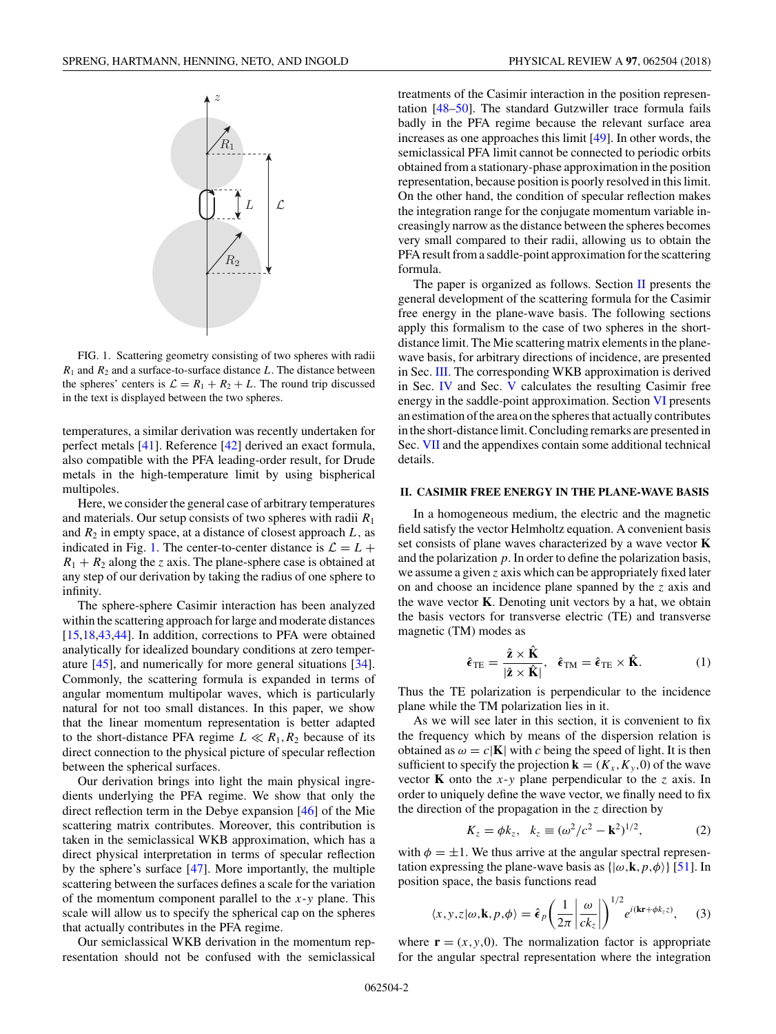<span id="page-1-0"></span>

FIG. 1. Scattering geometry consisting of two spheres with radii  $R_1$  and  $R_2$  and a surface-to-surface distance *L*. The distance between the spheres' centers is  $\mathcal{L} = R_1 + R_2 + L$ . The round trip discussed in the text is displayed between the two spheres.

temperatures, a similar derivation was recently undertaken for perfect metals [\[41\]](#page-10-0). Reference [\[42\]](#page-10-0) derived an exact formula, also compatible with the PFA leading-order result, for Drude metals in the high-temperature limit by using bispherical multipoles.

Here, we consider the general case of arbitrary temperatures and materials. Our setup consists of two spheres with radii *R*<sup>1</sup> and  $R_2$  in empty space, at a distance of closest approach  $L$ , as indicated in Fig. 1. The center-to-center distance is  $\mathcal{L} = L +$  $R_1 + R_2$  along the *z* axis. The plane-sphere case is obtained at any step of our derivation by taking the radius of one sphere to infinity.

The sphere-sphere Casimir interaction has been analyzed within the scattering approach for large and moderate distances [\[15,18,](#page-9-0)[43,44\]](#page-10-0). In addition, corrections to PFA were obtained analytically for idealized boundary conditions at zero temperature [\[45\]](#page-10-0), and numerically for more general situations [\[34\]](#page-10-0). Commonly, the scattering formula is expanded in terms of angular momentum multipolar waves, which is particularly natural for not too small distances. In this paper, we show that the linear momentum representation is better adapted to the short-distance PFA regime  $L \ll R_1, R_2$  because of its direct connection to the physical picture of specular reflection between the spherical surfaces.

Our derivation brings into light the main physical ingredients underlying the PFA regime. We show that only the direct reflection term in the Debye expansion [\[46\]](#page-10-0) of the Mie scattering matrix contributes. Moreover, this contribution is taken in the semiclassical WKB approximation, which has a direct physical interpretation in terms of specular reflection by the sphere's surface [\[47\]](#page-10-0). More importantly, the multiple scattering between the surfaces defines a scale for the variation of the momentum component parallel to the *x*-*y* plane. This scale will allow us to specify the spherical cap on the spheres that actually contributes in the PFA regime.

Our semiclassical WKB derivation in the momentum representation should not be confused with the semiclassical treatments of the Casimir interaction in the position representation [\[48–50\]](#page-10-0). The standard Gutzwiller trace formula fails badly in the PFA regime because the relevant surface area increases as one approaches this limit [\[49\]](#page-10-0). In other words, the semiclassical PFA limit cannot be connected to periodic orbits obtained from a stationary-phase approximation in the position representation, because position is poorly resolved in this limit. On the other hand, the condition of specular reflection makes the integration range for the conjugate momentum variable increasingly narrow as the distance between the spheres becomes very small compared to their radii, allowing us to obtain the PFA result from a saddle-point approximation for the scattering formula.

The paper is organized as follows. Section  $II$  presents the general development of the scattering formula for the Casimir free energy in the plane-wave basis. The following sections apply this formalism to the case of two spheres in the shortdistance limit. The Mie scattering matrix elements in the planewave basis, for arbitrary directions of incidence, are presented in Sec. [III.](#page-2-0) The corresponding WKB approximation is derived in Sec. [IV](#page-3-0) and Sec. [V](#page-3-0) calculates the resulting Casimir free energy in the saddle-point approximation. Section [VI](#page-5-0) presents an estimation of the area on the spheres that actually contributes in the short-distance limit. Concluding remarks are presented in Sec. [VII](#page-7-0) and the appendixes contain some additional technical details.

#### **II. CASIMIR FREE ENERGY IN THE PLANE-WAVE BASIS**

In a homogeneous medium, the electric and the magnetic field satisfy the vector Helmholtz equation. A convenient basis set consists of plane waves characterized by a wave vector **K** and the polarization *p*. In order to define the polarization basis, we assume a given *z* axis which can be appropriately fixed later on and choose an incidence plane spanned by the *z* axis and the wave vector **K**. Denoting unit vectors by a hat, we obtain the basis vectors for transverse electric (TE) and transverse magnetic (TM) modes as

$$
\hat{\epsilon}_{\text{TE}} = \frac{\hat{\mathbf{z}} \times \hat{\mathbf{K}}}{|\hat{\mathbf{z}} \times \hat{\mathbf{K}}|}, \quad \hat{\epsilon}_{\text{TM}} = \hat{\epsilon}_{\text{TE}} \times \hat{\mathbf{K}}.
$$
 (1)

Thus the TE polarization is perpendicular to the incidence plane while the TM polarization lies in it.

As we will see later in this section, it is convenient to fix the frequency which by means of the dispersion relation is obtained as  $\omega = c|\mathbf{K}|$  with *c* being the speed of light. It is then sufficient to specify the projection  $\mathbf{k} = (K_x, K_y, 0)$  of the wave vector **K** onto the *x*-*y* plane perpendicular to the *z* axis. In order to uniquely define the wave vector, we finally need to fix the direction of the propagation in the *z* direction by

$$
K_z = \phi k_z, \quad k_z \equiv (\omega^2/c^2 - \mathbf{k}^2)^{1/2},
$$
 (2)

with  $\phi = \pm 1$ . We thus arrive at the angular spectral representation expressing the plane-wave basis as  $\{|\omega, \mathbf{k}, p, \phi\rangle\}$  [\[51\]](#page-10-0). In position space, the basis functions read

$$
\langle x, y, z | \omega, \mathbf{k}, p, \phi \rangle = \hat{\boldsymbol{\epsilon}}_p \left( \frac{1}{2\pi} \left| \frac{\omega}{ck_z} \right| \right)^{1/2} e^{i(\mathbf{k} \mathbf{r} + \phi k_z z)}, \quad (3)
$$

where  $\mathbf{r} = (x, y, 0)$ . The normalization factor is appropriate for the angular spectral representation where the integration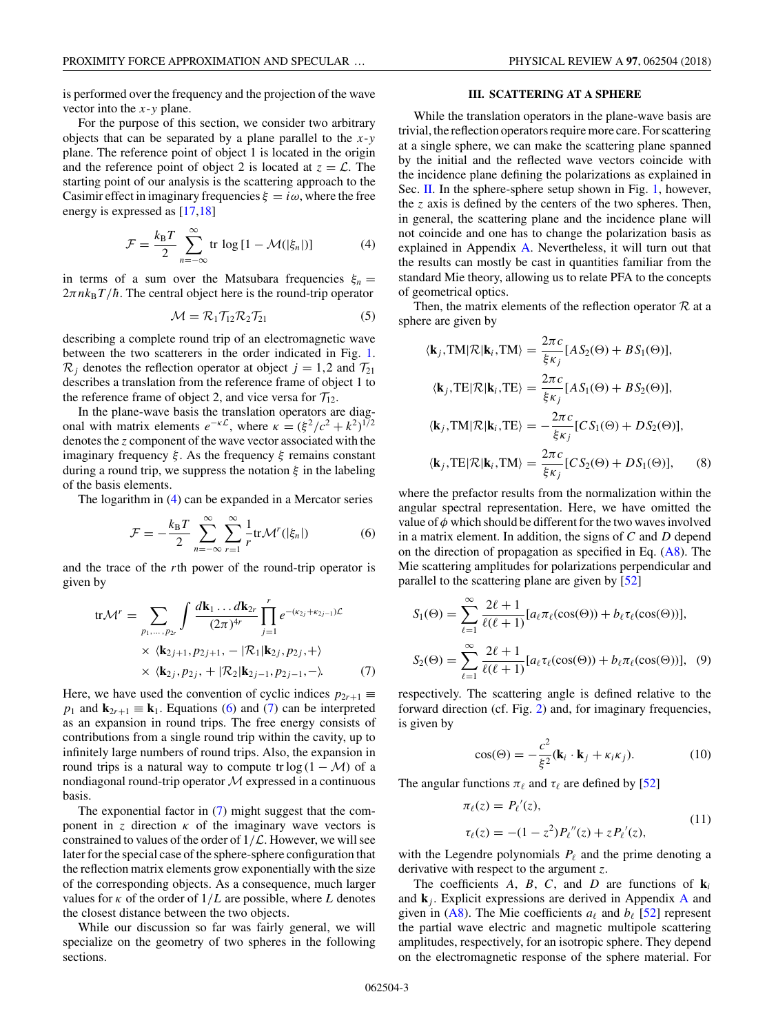<span id="page-2-0"></span>is performed over the frequency and the projection of the wave vector into the *x*-*y* plane.

For the purpose of this section, we consider two arbitrary objects that can be separated by a plane parallel to the *x*-*y* plane. The reference point of object 1 is located in the origin and the reference point of object 2 is located at  $z = \mathcal{L}$ . The starting point of our analysis is the scattering approach to the Casimir effect in imaginary frequencies  $\xi = i\omega$ , where the free energy is expressed as [\[17,18\]](#page-9-0)

$$
\mathcal{F} = \frac{k_{\rm B}T}{2} \sum_{n=-\infty}^{\infty} \text{tr} \log \left[1 - \mathcal{M}(|\xi_n|) \right] \tag{4}
$$

in terms of a sum over the Matsubara frequencies  $\xi_n =$  $2\pi n k_B T/\hbar$ . The central object here is the round-trip operator

$$
\mathcal{M} = \mathcal{R}_1 \mathcal{T}_{12} \mathcal{R}_2 \mathcal{T}_{21} \tag{5}
$$

describing a complete round trip of an electromagnetic wave between the two scatterers in the order indicated in Fig. [1.](#page-1-0)  $\mathcal{R}_i$  denotes the reflection operator at object  $j = 1,2$  and  $\mathcal{T}_{21}$ describes a translation from the reference frame of object 1 to the reference frame of object 2, and vice versa for  $T_{12}$ .

In the plane-wave basis the translation operators are diagonal with matrix elements  $e^{-\kappa \mathcal{L}}$ , where  $\kappa = (\xi^2/c^2 + k^2)^{1/2}$ denotes the *z* component of the wave vector associated with the imaginary frequency *ξ* . As the frequency *ξ* remains constant during a round trip, we suppress the notation *ξ* in the labeling of the basis elements.

The logarithm in (4) can be expanded in a Mercator series

$$
\mathcal{F} = -\frac{k_{\rm B}T}{2} \sum_{n=-\infty}^{\infty} \sum_{r=1}^{\infty} \frac{1}{r} \text{tr} \mathcal{M}^r(|\xi_n|) \tag{6}
$$

and the trace of the *r*th power of the round-trip operator is given by

tr
$$
M^{r} = \sum_{p_1,\ldots,p_{2r}} \int \frac{d\mathbf{k}_1 \ldots d\mathbf{k}_{2r}}{(2\pi)^{4r}} \prod_{j=1}^{r} e^{-(\kappa_{2j}+\kappa_{2j-1})\mathcal{L}}
$$
  
×  $\langle \mathbf{k}_{2j+1}, p_{2j+1}, -|\mathcal{R}_1|\mathbf{k}_{2j}, p_{2j}, + \rangle$   
×  $\langle \mathbf{k}_{2j}, p_{2j}, +|\mathcal{R}_2|\mathbf{k}_{2j-1}, p_{2j-1}, -\rangle$ . (7)

Here, we have used the convention of cyclic indices  $p_{2r+1} \equiv$ *p*<sub>1</sub> and  $\mathbf{k}_{2r+1} \equiv \mathbf{k}_1$ . Equations (6) and (7) can be interpreted as an expansion in round trips. The free energy consists of contributions from a single round trip within the cavity, up to infinitely large numbers of round trips. Also, the expansion in round trips is a natural way to compute tr log  $(1 - M)$  of a nondiagonal round-trip operator  $M$  expressed in a continuous basis.

The exponential factor in (7) might suggest that the component in *z* direction  $\kappa$  of the imaginary wave vectors is constrained to values of the order of  $1/\mathcal{L}$ . However, we will see later for the special case of the sphere-sphere configuration that the reflection matrix elements grow exponentially with the size of the corresponding objects. As a consequence, much larger values for  $\kappa$  of the order of  $1/L$  are possible, where *L* denotes the closest distance between the two objects.

While our discussion so far was fairly general, we will specialize on the geometry of two spheres in the following sections.

## **III. SCATTERING AT A SPHERE**

While the translation operators in the plane-wave basis are trivial, the reflection operators require more care. For scattering at a single sphere, we can make the scattering plane spanned by the initial and the reflected wave vectors coincide with the incidence plane defining the polarizations as explained in Sec. [II.](#page-1-0) In the sphere-sphere setup shown in Fig. [1,](#page-1-0) however, the *z* axis is defined by the centers of the two spheres. Then, in general, the scattering plane and the incidence plane will not coincide and one has to change the polarization basis as explained in Appendix [A.](#page-7-0) Nevertheless, it will turn out that the results can mostly be cast in quantities familiar from the standard Mie theory, allowing us to relate PFA to the concepts of geometrical optics.

Then, the matrix elements of the reflection operator  $R$  at a sphere are given by

$$
\langle \mathbf{k}_j, TM | \mathcal{R} | \mathbf{k}_i, TM \rangle = \frac{2\pi c}{\xi \kappa_j} [AS_2(\Theta) + BS_1(\Theta)],
$$
  

$$
\langle \mathbf{k}_j, TE | \mathcal{R} | \mathbf{k}_i, TE \rangle = \frac{2\pi c}{\xi \kappa_j} [AS_1(\Theta) + BS_2(\Theta)],
$$
  

$$
\langle \mathbf{k}_j, TM | \mathcal{R} | \mathbf{k}_i, TE \rangle = -\frac{2\pi c}{\xi \kappa_j} [CS_1(\Theta) + DS_2(\Theta)],
$$
  

$$
\langle \mathbf{k}_j, TE | \mathcal{R} | \mathbf{k}_i, TM \rangle = \frac{2\pi c}{\xi \kappa_j} [CS_2(\Theta) + DS_1(\Theta)],
$$
 (8)

where the prefactor results from the normalization within the angular spectral representation. Here, we have omitted the value of  $\phi$  which should be different for the two waves involved in a matrix element. In addition, the signs of *C* and *D* depend on the direction of propagation as specified in Eq. [\(A8\)](#page-8-0). The Mie scattering amplitudes for polarizations perpendicular and parallel to the scattering plane are given by [\[52\]](#page-10-0)

$$
S_1(\Theta) = \sum_{\ell=1}^{\infty} \frac{2\ell+1}{\ell(\ell+1)} [a_{\ell}\pi_{\ell}(\cos(\Theta)) + b_{\ell}\tau_{\ell}(\cos(\Theta))],
$$
  

$$
S_2(\Theta) = \sum_{\ell=1}^{\infty} \frac{2\ell+1}{\ell(\ell+1)} [a_{\ell}\tau_{\ell}(\cos(\Theta)) + b_{\ell}\pi_{\ell}(\cos(\Theta))],
$$
 (9)

respectively. The scattering angle is defined relative to the forward direction (cf. Fig. [2\)](#page-3-0) and, for imaginary frequencies, is given by

$$
\cos(\Theta) = -\frac{c^2}{\xi^2} (\mathbf{k}_i \cdot \mathbf{k}_j + \kappa_i \kappa_j). \tag{10}
$$

The angular functions  $\pi_{\ell}$  and  $\tau_{\ell}$  are defined by [\[52\]](#page-10-0)

$$
\pi_{\ell}(z) = P_{\ell}'(z),
$$
  
\n
$$
\tau_{\ell}(z) = -(1 - z^2)P_{\ell}''(z) + zP_{\ell}'(z),
$$
\n(11)

with the Legendre polynomials  $P_{\ell}$  and the prime denoting a derivative with respect to the argument *z*.

The coefficients *A*, *B*, *C*, and *D* are functions of  $\mathbf{k}_i$ and  $\mathbf{k}_i$ . Explicit expressions are derived in [A](#page-7-0)ppendix A and given in [\(A8\)](#page-8-0). The Mie coefficients  $a_{\ell}$  and  $b_{\ell}$  [\[52\]](#page-10-0) represent the partial wave electric and magnetic multipole scattering amplitudes, respectively, for an isotropic sphere. They depend on the electromagnetic response of the sphere material. For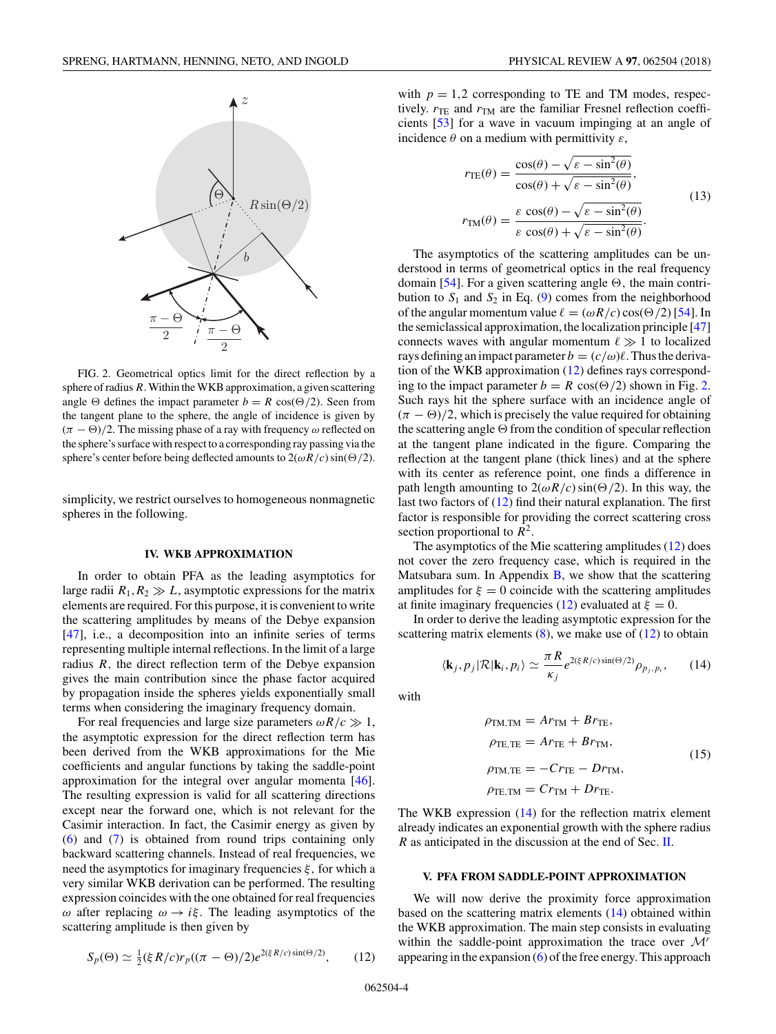<span id="page-3-0"></span>

FIG. 2. Geometrical optics limit for the direct reflection by a sphere of radius *R*. Within the WKB approximation, a given scattering angle  $\Theta$  defines the impact parameter  $b = R \cos(\Theta/2)$ . Seen from the tangent plane to the sphere, the angle of incidence is given by  $(\pi - \Theta)/2$ . The missing phase of a ray with frequency  $\omega$  reflected on the sphere's surface with respect to a corresponding ray passing via the sphere's center before being deflected amounts to  $2(\omega R/c) \sin(\Theta/2)$ .

simplicity, we restrict ourselves to homogeneous nonmagnetic spheres in the following.

#### **IV. WKB APPROXIMATION**

In order to obtain PFA as the leading asymptotics for large radii  $R_1, R_2 \gg L$ , asymptotic expressions for the matrix elements are required. For this purpose, it is convenient to write the scattering amplitudes by means of the Debye expansion [\[47\]](#page-10-0), i.e., a decomposition into an infinite series of terms representing multiple internal reflections. In the limit of a large radius *R,* the direct reflection term of the Debye expansion gives the main contribution since the phase factor acquired by propagation inside the spheres yields exponentially small terms when considering the imaginary frequency domain.

For real frequencies and large size parameters  $\omega R/c \gg 1$ , the asymptotic expression for the direct reflection term has been derived from the WKB approximations for the Mie coefficients and angular functions by taking the saddle-point approximation for the integral over angular momenta [\[46\]](#page-10-0). The resulting expression is valid for all scattering directions except near the forward one, which is not relevant for the Casimir interaction. In fact, the Casimir energy as given by [\(6\)](#page-2-0) and [\(7\)](#page-2-0) is obtained from round trips containing only backward scattering channels. Instead of real frequencies, we need the asymptotics for imaginary frequencies *ξ,* for which a very similar WKB derivation can be performed. The resulting expression coincides with the one obtained for real frequencies *ω* after replacing *ω* → *iξ*. The leading asymptotics of the scattering amplitude is then given by

$$
S_p(\Theta) \simeq \frac{1}{2} (\xi R/c) r_p ((\pi - \Theta)/2) e^{2(\xi R/c) \sin(\Theta/2)}, \qquad (12)
$$

with  $p = 1,2$  corresponding to TE and TM modes, respectively.  $r_{\text{TE}}$  and  $r_{\text{TM}}$  are the familiar Fresnel reflection coefficients [\[53\]](#page-10-0) for a wave in vacuum impinging at an angle of incidence *θ* on a medium with permittivity *ε*,

$$
r_{\text{TE}}(\theta) = \frac{\cos(\theta) - \sqrt{\varepsilon - \sin^2(\theta)}}{\cos(\theta) + \sqrt{\varepsilon - \sin^2(\theta)}},
$$
  
\n
$$
r_{\text{TM}}(\theta) = \frac{\varepsilon \cos(\theta) - \sqrt{\varepsilon - \sin^2(\theta)}}{\varepsilon \cos(\theta) + \sqrt{\varepsilon - \sin^2(\theta)}}.
$$
\n(13)

The asymptotics of the scattering amplitudes can be understood in terms of geometrical optics in the real frequency domain [\[54\]](#page-10-0). For a given scattering angle  $\Theta$ , the main contribution to  $S_1$  and  $S_2$  in Eq. [\(9\)](#page-2-0) comes from the neighborhood of the angular momentum value  $\ell = (\omega R/c) \cos(\Theta/2)$  [\[54\]](#page-10-0). In the semiclassical approximation, the localization principle [\[47\]](#page-10-0) connects waves with angular momentum  $\ell \gg 1$  to localized rays defining an impact parameter  $b = (c/\omega)\ell$ . Thus the derivation of the WKB approximation (12) defines rays corresponding to the impact parameter  $b = R \cos(\Theta/2)$  shown in Fig. 2. Such rays hit the sphere surface with an incidence angle of  $(\pi - \Theta)/2$ , which is precisely the value required for obtaining the scattering angle  $\Theta$  from the condition of specular reflection at the tangent plane indicated in the figure. Comparing the reflection at the tangent plane (thick lines) and at the sphere with its center as reference point, one finds a difference in path length amounting to  $2(\omega R/c) \sin(\Theta/2)$ . In this way, the last two factors of (12) find their natural explanation. The first factor is responsible for providing the correct scattering cross section proportional to  $R^2$ .

The asymptotics of the Mie scattering amplitudes (12) does not cover the zero frequency case, which is required in the Matsubara sum. In Appendix  $B$ , we show that the scattering amplitudes for  $\xi = 0$  coincide with the scattering amplitudes at finite imaginary frequencies (12) evaluated at  $\xi = 0$ .

In order to derive the leading asymptotic expression for the scattering matrix elements  $(8)$ , we make use of  $(12)$  to obtain

$$
\langle \mathbf{k}_j, p_j | \mathcal{R} | \mathbf{k}_i, p_i \rangle \simeq \frac{\pi R}{\kappa_j} e^{2(\xi R/c) \sin(\Theta/2)} \rho_{p_j, p_i}, \qquad (14)
$$

with

$$
\rho_{\text{TM,TM}} = Ar_{\text{TM}} + Br_{\text{TE}},
$$
  
\n
$$
\rho_{\text{TE,TE}} = Ar_{\text{TE}} + Br_{\text{TM}},
$$
  
\n
$$
\rho_{\text{TM,TE}} = -Cr_{\text{TE}} - Dr_{\text{TM}},
$$
  
\n
$$
\rho_{\text{TE,TM}} = Cr_{\text{TM}} + Dr_{\text{TE}}.
$$
\n(15)

The WKB expression (14) for the reflection matrix element already indicates an exponential growth with the sphere radius *R* as anticipated in the discussion at the end of Sec. [II.](#page-1-0)

### **V. PFA FROM SADDLE-POINT APPROXIMATION**

We will now derive the proximity force approximation based on the scattering matrix elements (14) obtained within the WKB approximation. The main step consists in evaluating within the saddle-point approximation the trace over <sup>M</sup>*<sup>r</sup>* appearing in the expansion  $(6)$  of the free energy. This approach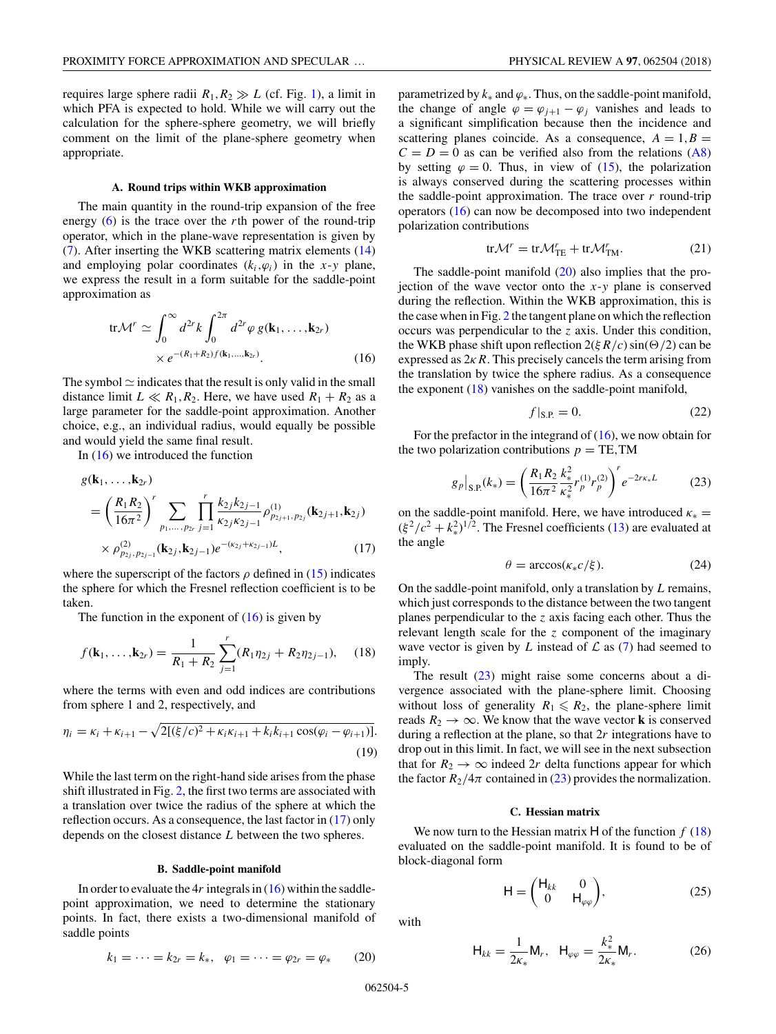<span id="page-4-0"></span>requires large sphere radii  $R_1, R_2 \gg L$  (cf. Fig. [1\)](#page-1-0), a limit in which PFA is expected to hold. While we will carry out the calculation for the sphere-sphere geometry, we will briefly comment on the limit of the plane-sphere geometry when appropriate.

### **A. Round trips within WKB approximation**

The main quantity in the round-trip expansion of the free energy [\(6\)](#page-2-0) is the trace over the *r*th power of the round-trip operator, which in the plane-wave representation is given by [\(7\)](#page-2-0). After inserting the WKB scattering matrix elements [\(14\)](#page-3-0) and employing polar coordinates  $(k_i, \varphi_i)$  in the *x*-*y* plane, we express the result in a form suitable for the saddle-point approximation as

$$
\text{tr}\mathcal{M}^r \simeq \int_0^\infty d^{2r}k \int_0^{2\pi} d^{2r}\varphi g(\mathbf{k}_1,\dots,\mathbf{k}_{2r})
$$
  
 
$$
\times e^{-(R_1+R_2)f(\mathbf{k}_1,\dots,\mathbf{k}_{2r})}.
$$
 (16)

The symbol  $\simeq$  indicates that the result is only valid in the small distance limit  $L \ll R_1, R_2$ . Here, we have used  $R_1 + R_2$  as a large parameter for the saddle-point approximation. Another choice, e.g., an individual radius, would equally be possible and would yield the same final result.

In  $(16)$  we introduced the function

$$
g(\mathbf{k}_1, \dots, \mathbf{k}_{2r})
$$
  
=  $\left(\frac{R_1 R_2}{16\pi^2}\right)^r \sum_{p_1, \dots, p_{2r}} \prod_{j=1}^r \frac{k_{2j} k_{2j-1}}{\kappa_{2j} \kappa_{2j-1}} \rho_{p_{2j+1}, p_{2j}}^{(1)}(\mathbf{k}_{2j+1}, \mathbf{k}_{2j})$   
 $\times \rho_{p_{2j}, p_{2j-1}}^{(2)}(\mathbf{k}_{2j}, \mathbf{k}_{2j-1}) e^{-(\kappa_{2j} + \kappa_{2j-1})L},$  (17)

where the superscript of the factors  $\rho$  defined in [\(15\)](#page-3-0) indicates the sphere for which the Fresnel reflection coefficient is to be taken.

The function in the exponent of  $(16)$  is given by

$$
f(\mathbf{k}_1,\ldots,\mathbf{k}_{2r})=\frac{1}{R_1+R_2}\sum_{j=1}^r(R_1\eta_{2j}+R_2\eta_{2j-1}),\quad(18)
$$

where the terms with even and odd indices are contributions from sphere 1 and 2, respectively, and

$$
\eta_i = \kappa_i + \kappa_{i+1} - \sqrt{2[(\xi/c)^2 + \kappa_i \kappa_{i+1} + k_i k_{i+1} \cos(\varphi_i - \varphi_{i+1})]}.
$$
\n(19)

While the last term on the right-hand side arises from the phase shift illustrated in Fig. [2,](#page-3-0) the first two terms are associated with a translation over twice the radius of the sphere at which the reflection occurs. As a consequence, the last factor in (17) only depends on the closest distance *L* between the two spheres.

### **B. Saddle-point manifold**

In order to evaluate the  $4r$  integrals in  $(16)$  within the saddlepoint approximation, we need to determine the stationary points. In fact, there exists a two-dimensional manifold of saddle points

$$
k_1 = \dots = k_{2r} = k_*, \quad \varphi_1 = \dots = \varphi_{2r} = \varphi_* \qquad (20)
$$

parametrized by  $k_*$  and  $\varphi_*$ . Thus, on the saddle-point manifold, the change of angle  $\varphi = \varphi_{j+1} - \varphi_j$  vanishes and leads to a significant simplification because then the incidence and scattering planes coincide. As a consequence,  $A = 1, B =$  $C = D = 0$  as can be verified also from the relations [\(A8\)](#page-8-0) by setting  $\varphi = 0$ . Thus, in view of [\(15\)](#page-3-0), the polarization is always conserved during the scattering processes within the saddle-point approximation. The trace over  $r$  round-trip operators (16) can now be decomposed into two independent polarization contributions

$$
\text{tr}\mathcal{M}^r = \text{tr}\mathcal{M}_{\text{TE}}^r + \text{tr}\mathcal{M}_{\text{TM}}^r. \tag{21}
$$

The saddle-point manifold  $(20)$  also implies that the projection of the wave vector onto the *x*-*y* plane is conserved during the reflection. Within the WKB approximation, this is the case when in Fig. [2](#page-3-0) the tangent plane on which the reflection occurs was perpendicular to the *z* axis. Under this condition, the WKB phase shift upon reflection  $2(\xi R/c) \sin(\Theta/2)$  can be expressed as  $2kR$ . This precisely cancels the term arising from the translation by twice the sphere radius. As a consequence the exponent  $(18)$  vanishes on the saddle-point manifold,

$$
f|_{\text{S.P.}} = 0. \tag{22}
$$

For the prefactor in the integrand of  $(16)$ , we now obtain for the two polarization contributions  $p = TE, TM$ 

$$
g_p|_{S.P.}(k_*) = \left(\frac{R_1 R_2}{16\pi^2} \frac{k_*^2}{\kappa_*^2} r_p^{(1)} r_p^{(2)}\right)^r e^{-2r\kappa_* L}
$$
 (23)

on the saddle-point manifold. Here, we have introduced  $\kappa_* =$  $(\xi^2/c^2 + k_*^2)^{1/2}$ . The Fresnel coefficients [\(13\)](#page-3-0) are evaluated at the angle

$$
\theta = \arccos(\kappa_* c/\xi). \tag{24}
$$

On the saddle-point manifold, only a translation by *L* remains, which just corresponds to the distance between the two tangent planes perpendicular to the *z* axis facing each other. Thus the relevant length scale for the *z* component of the imaginary wave vector is given by *L* instead of  $\mathcal L$  as [\(7\)](#page-2-0) had seemed to imply.

The result  $(23)$  might raise some concerns about a divergence associated with the plane-sphere limit. Choosing without loss of generality  $R_1 \leq R_2$ , the plane-sphere limit reads  $R_2 \rightarrow \infty$ . We know that the wave vector **k** is conserved during a reflection at the plane, so that 2*r* integrations have to drop out in this limit. In fact, we will see in the next subsection that for  $R_2 \rightarrow \infty$  indeed 2r delta functions appear for which the factor  $R_2/4\pi$  contained in (23) provides the normalization.

# **C. Hessian matrix**

We now turn to the Hessian matrix  $H$  of the function  $f(18)$ evaluated on the saddle-point manifold. It is found to be of block-diagonal form

$$
\mathsf{H} = \begin{pmatrix} \mathsf{H}_{kk} & 0 \\ 0 & \mathsf{H}_{\varphi\varphi} \end{pmatrix},\tag{25}
$$

with

$$
\mathsf{H}_{kk} = \frac{1}{2\kappa_*} \mathsf{M}_r, \quad \mathsf{H}_{\varphi\varphi} = \frac{k_*^2}{2\kappa_*} \mathsf{M}_r. \tag{26}
$$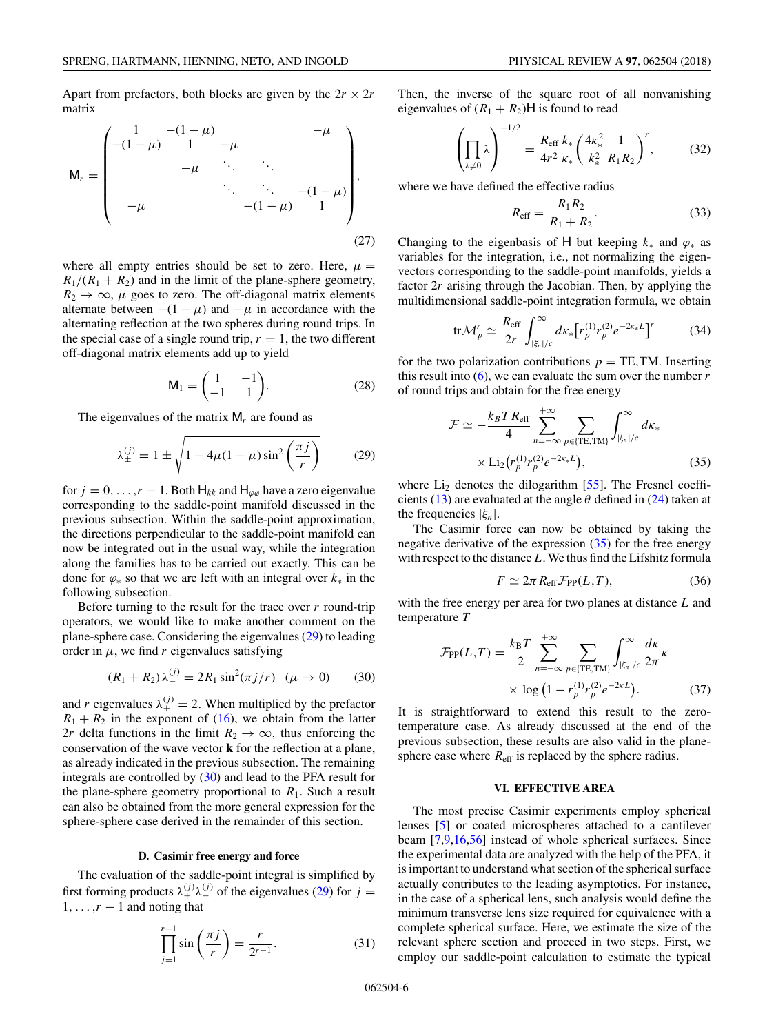<span id="page-5-0"></span>Apart from prefactors, both blocks are given by the  $2r \times 2r$ matrix

$$
M_r = \begin{pmatrix} 1 & -(1-\mu) & -\mu & -\mu \\ -(1-\mu) & 1 & -\mu & \cdots & \cdots \\ & -\mu & \ddots & \ddots & \ddots & \cdots \\ & & \ddots & \ddots & -(1-\mu) \\ -\mu & & & -\mu & 1 \end{pmatrix},
$$
(27)

where all empty entries should be set to zero. Here,  $\mu =$  $R_1/(R_1 + R_2)$  and in the limit of the plane-sphere geometry,  $R_2 \rightarrow \infty$ ,  $\mu$  goes to zero. The off-diagonal matrix elements alternate between  $-(1 - \mu)$  and  $-\mu$  in accordance with the alternating reflection at the two spheres during round trips. In the special case of a single round trip,  $r = 1$ , the two different off-diagonal matrix elements add up to yield

$$
\mathsf{M}_1 = \begin{pmatrix} 1 & -1 \\ -1 & 1 \end{pmatrix} . \tag{28}
$$

The eigenvalues of the matrix M*<sup>r</sup>* are found as

$$
\lambda_{\pm}^{(j)} = 1 \pm \sqrt{1 - 4\mu(1 - \mu)\sin^2\left(\frac{\pi j}{r}\right)}
$$
 (29)

for  $j = 0, \ldots, r - 1$ . Both  $H_{kk}$  and  $H_{\varphi\varphi}$  have a zero eigenvalue corresponding to the saddle-point manifold discussed in the previous subsection. Within the saddle-point approximation, the directions perpendicular to the saddle-point manifold can now be integrated out in the usual way, while the integration along the families has to be carried out exactly. This can be done for *ϕ*<sup>∗</sup> so that we are left with an integral over *k*<sup>∗</sup> in the following subsection.

Before turning to the result for the trace over *r* round-trip operators, we would like to make another comment on the plane-sphere case. Considering the eigenvalues (29) to leading order in  $\mu$ , we find  $r$  eigenvalues satisfying

$$
(R_1 + R_2) \lambda_-^{(j)} = 2R_1 \sin^2(\pi j/r) \quad (\mu \to 0) \tag{30}
$$

and *r* eigenvalues  $\lambda_{+}^{(j)} = 2$ . When multiplied by the prefactor  $R_1 + R_2$  in the exponent of [\(16\)](#page-4-0), we obtain from the latter 2*r* delta functions in the limit  $R_2 \rightarrow \infty$ , thus enforcing the conservation of the wave vector **k** for the reflection at a plane, as already indicated in the previous subsection. The remaining integrals are controlled by (30) and lead to the PFA result for the plane-sphere geometry proportional to  $R_1$ . Such a result can also be obtained from the more general expression for the sphere-sphere case derived in the remainder of this section.

### **D. Casimir free energy and force**

The evaluation of the saddle-point integral is simplified by first forming products  $\lambda_+^{(j)} \lambda_-^{(j)}$  of the eigenvalues (29) for  $j =$  $1, \ldots, r-1$  and noting that

$$
\prod_{j=1}^{r-1} \sin\left(\frac{\pi j}{r}\right) = \frac{r}{2^{r-1}}.\tag{31}
$$

Then, the inverse of the square root of all nonvanishing eigenvalues of  $(R_1 + R_2)$ H is found to read

$$
\left(\prod_{\lambda \neq 0} \lambda\right)^{-1/2} = \frac{R_{\text{eff}}}{4r^2} \frac{k_*}{\kappa_*} \left(\frac{4\kappa_*^2}{k_*^2} \frac{1}{R_1 R_2}\right)^r, \tag{32}
$$

where we have defined the effective radius

$$
R_{\rm eff} = \frac{R_1 R_2}{R_1 + R_2}.
$$
 (33)

Changing to the eigenbasis of H but keeping  $k_*$  and  $\varphi_*$  as variables for the integration, i.e., not normalizing the eigenvectors corresponding to the saddle-point manifolds, yields a factor 2*r* arising through the Jacobian. Then, by applying the multidimensional saddle-point integration formula, we obtain

$$
\text{tr}\mathcal{M}_p^r \simeq \frac{R_{\text{eff}}}{2r} \int_{|\xi_n|/c}^{\infty} d\kappa_* \left[ r_p^{(1)} r_p^{(2)} e^{-2\kappa_* L} \right]^r \tag{34}
$$

for the two polarization contributions  $p = TE, TM$ . Inserting this result into  $(6)$ , we can evaluate the sum over the number  $r$ of round trips and obtain for the free energy

$$
\mathcal{F} \simeq -\frac{k_B T R_{\text{eff}}}{4} \sum_{n=-\infty}^{+\infty} \sum_{p \in \{\text{TE}, \text{TM}\}} \int_{|\xi_n|/c}^{\infty} d\kappa_*
$$
  
 
$$
\times \operatorname{Li}_2(r_p^{(1)} r_p^{(2)} e^{-2\kappa_* L}), \tag{35}
$$

where  $Li_2$  denotes the dilogarithm [\[55\]](#page-10-0). The Fresnel coeffi-cients [\(13\)](#page-3-0) are evaluated at the angle  $\theta$  defined in [\(24\)](#page-4-0) taken at the frequencies |*ξn*|.

The Casimir force can now be obtained by taking the negative derivative of the expression  $(35)$  for the free energy with respect to the distance*L*. We thus find the Lifshitz formula

$$
F \simeq 2\pi R_{\rm eff} \mathcal{F}_{\rm PP}(L, T), \tag{36}
$$

with the free energy per area for two planes at distance *L* and temperature *T*

$$
\mathcal{F}_{\text{PP}}(L,T) = \frac{k_{\text{B}}T}{2} \sum_{n=-\infty}^{+\infty} \sum_{p \in \{\text{TE}, \text{TM}\}} \int_{|\xi_n|/c}^{\infty} \frac{d\kappa}{2\pi} \kappa
$$

$$
\times \log\left(1 - r_p^{(1)} r_p^{(2)} e^{-2\kappa L}\right). \tag{37}
$$

It is straightforward to extend this result to the zerotemperature case. As already discussed at the end of the previous subsection, these results are also valid in the planesphere case where  $R_{\text{eff}}$  is replaced by the sphere radius.

#### **VI. EFFECTIVE AREA**

The most precise Casimir experiments employ spherical lenses [\[5\]](#page-9-0) or coated microspheres attached to a cantilever beam [\[7,9,16](#page-9-0)[,56\]](#page-10-0) instead of whole spherical surfaces. Since the experimental data are analyzed with the help of the PFA, it is important to understand what section of the spherical surface actually contributes to the leading asymptotics. For instance, in the case of a spherical lens, such analysis would define the minimum transverse lens size required for equivalence with a complete spherical surface. Here, we estimate the size of the relevant sphere section and proceed in two steps. First, we employ our saddle-point calculation to estimate the typical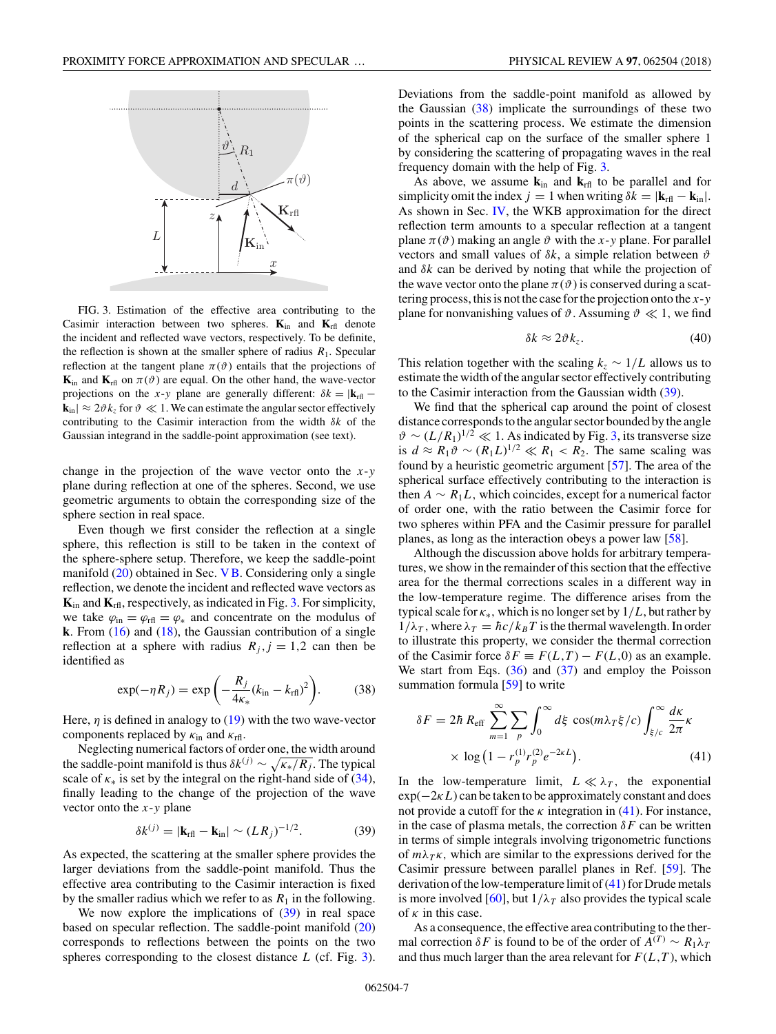

FIG. 3. Estimation of the effective area contributing to the Casimir interaction between two spheres. **K**in and **K**rfl denote the incident and reflected wave vectors, respectively. To be definite, the reflection is shown at the smaller sphere of radius  $R_1$ . Specular reflection at the tangent plane  $\pi(\theta)$  entails that the projections of  $\mathbf{K}_{\text{in}}$  and  $\mathbf{K}_{\text{rfl}}$  on  $\pi(\vartheta)$  are equal. On the other hand, the wave-vector projections on the *x*-*y* plane are generally different:  $\delta k = |\mathbf{k}_{\text{rfl}} - \mathbf{k}_{\text{rfl}}|$  $|\mathbf{k}_{\text{in}}| \approx 2 \vartheta k_z$  for  $\vartheta \ll 1$ . We can estimate the angular sector effectively contributing to the Casimir interaction from the width *δk* of the Gaussian integrand in the saddle-point approximation (see text).

change in the projection of the wave vector onto the *x*-*y* plane during reflection at one of the spheres. Second, we use geometric arguments to obtain the corresponding size of the sphere section in real space.

Even though we first consider the reflection at a single sphere, this reflection is still to be taken in the context of the sphere-sphere setup. Therefore, we keep the saddle-point manifold  $(20)$  obtained in Sec. [VB.](#page-4-0) Considering only a single reflection, we denote the incident and reflected wave vectors as **K**in and **K**rfl, respectively, as indicated in Fig. 3. For simplicity, we take  $\varphi_{\text{in}} = \varphi_{\text{rfl}} = \varphi_*$  and concentrate on the modulus of **k**. From [\(16\)](#page-4-0) and [\(18\)](#page-4-0), the Gaussian contribution of a single reflection at a sphere with radius  $R_j$ ,  $j = 1,2$  can then be identified as

$$
\exp(-\eta R_j) = \exp\left(-\frac{R_j}{4\kappa_*}(k_{\rm in} - k_{\rm rfl})^2\right). \tag{38}
$$

Here, *η* is defined in analogy to [\(19\)](#page-4-0) with the two wave-vector components replaced by  $\kappa_{\text{in}}$  and  $\kappa_{\text{rfl}}$ .

Neglecting numerical factors of order one, the width around the saddle-point manifold is thus  $\delta k^{(j)} \sim \sqrt{\kappa k/R_j}$ . The typical scale of  $\kappa_*$  is set by the integral on the right-hand side of [\(34\)](#page-5-0), finally leading to the change of the projection of the wave vector onto the *x*-*y* plane

$$
\delta k^{(j)} = |\mathbf{k}_{\rm rf} - \mathbf{k}_{\rm in}| \sim (LR_j)^{-1/2}.
$$
 (39)

As expected, the scattering at the smaller sphere provides the larger deviations from the saddle-point manifold. Thus the effective area contributing to the Casimir interaction is fixed by the smaller radius which we refer to as  $R_1$  in the following.

We now explore the implications of  $(39)$  in real space based on specular reflection. The saddle-point manifold [\(20\)](#page-4-0) corresponds to reflections between the points on the two spheres corresponding to the closest distance *L* (cf. Fig. 3). Deviations from the saddle-point manifold as allowed by the Gaussian  $(38)$  implicate the surroundings of these two points in the scattering process. We estimate the dimension of the spherical cap on the surface of the smaller sphere 1 by considering the scattering of propagating waves in the real frequency domain with the help of Fig. 3.

As above, we assume  $\mathbf{k}_{in}$  and  $\mathbf{k}_{\text{rf}}$  to be parallel and for simplicity omit the index  $j = 1$  when writing  $\delta k = |\mathbf{k}_{\text{rfl}} - \mathbf{k}_{\text{in}}|$ . As shown in Sec. [IV,](#page-3-0) the WKB approximation for the direct reflection term amounts to a specular reflection at a tangent plane  $\pi(\vartheta)$  making an angle  $\vartheta$  with the *x*-*y* plane. For parallel vectors and small values of *δk*, a simple relation between *ϑ* and *δk* can be derived by noting that while the projection of the wave vector onto the plane  $\pi(\vartheta)$  is conserved during a scattering process, this is not the case for the projection onto the *x*-*y* plane for nonvanishing values of  $\vartheta$ . Assuming  $\vartheta \ll 1$ , we find

$$
\delta k \approx 2\vartheta k_z. \tag{40}
$$

This relation together with the scaling  $k_z \sim 1/L$  allows us to estimate the width of the angular sector effectively contributing to the Casimir interaction from the Gaussian width (39).

We find that the spherical cap around the point of closest distance corresponds to the angular sector bounded by the angle  $\vartheta \sim (L/R_1)^{1/2} \ll 1$ . As indicated by Fig. 3, its transverse size is  $d \approx R_1 \vartheta \sim (R_1 L)^{1/2} \ll R_1 < R_2$ . The same scaling was found by a heuristic geometric argument [\[57\]](#page-10-0). The area of the spherical surface effectively contributing to the interaction is then  $A \sim R_1 L$ , which coincides, except for a numerical factor of order one, with the ratio between the Casimir force for two spheres within PFA and the Casimir pressure for parallel planes, as long as the interaction obeys a power law [\[58\]](#page-10-0).

Although the discussion above holds for arbitrary temperatures, we show in the remainder of this section that the effective area for the thermal corrections scales in a different way in the low-temperature regime. The difference arises from the typical scale for *κ*∗*,* which is no longer set by 1*/L*, but rather by  $1/\lambda_T$ , where  $\lambda_T = \hbar c / k_B T$  is the thermal wavelength. In order to illustrate this property, we consider the thermal correction of the Casimir force  $\delta F \equiv F(L,T) - F(L,0)$  as an example. We start from Eqs.  $(36)$  and  $(37)$  and employ the Poisson summation formula [\[59\]](#page-10-0) to write

$$
\delta F = 2\hbar R_{\text{eff}} \sum_{m=1}^{\infty} \sum_{p} \int_{0}^{\infty} d\xi \cos(m\lambda_{T}\xi/c) \int_{\xi/c}^{\infty} \frac{dk}{2\pi} \kappa
$$
  
  $\times \log(1 - r_{p}^{(1)}r_{p}^{(2)}e^{-2\kappa L}).$  (41)

In the low-temperature limit,  $L \ll \lambda_T$ , the exponential exp(−2*κL*) can be taken to be approximately constant and does not provide a cutoff for the  $\kappa$  integration in (41). For instance, in the case of plasma metals, the correction  $\delta F$  can be written in terms of simple integrals involving trigonometric functions of  $m\lambda_T\kappa$ , which are similar to the expressions derived for the Casimir pressure between parallel planes in Ref. [\[59\]](#page-10-0). The derivation of the low-temperature limit of (41) for Drude metals is more involved [\[60\]](#page-10-0), but  $1/\lambda_T$  also provides the typical scale of *κ* in this case.

As a consequence, the effective area contributing to the thermal correction  $\delta F$  is found to be of the order of  $A^{(T)} \sim R_1 \lambda_T$ and thus much larger than the area relevant for  $F(L,T)$ , which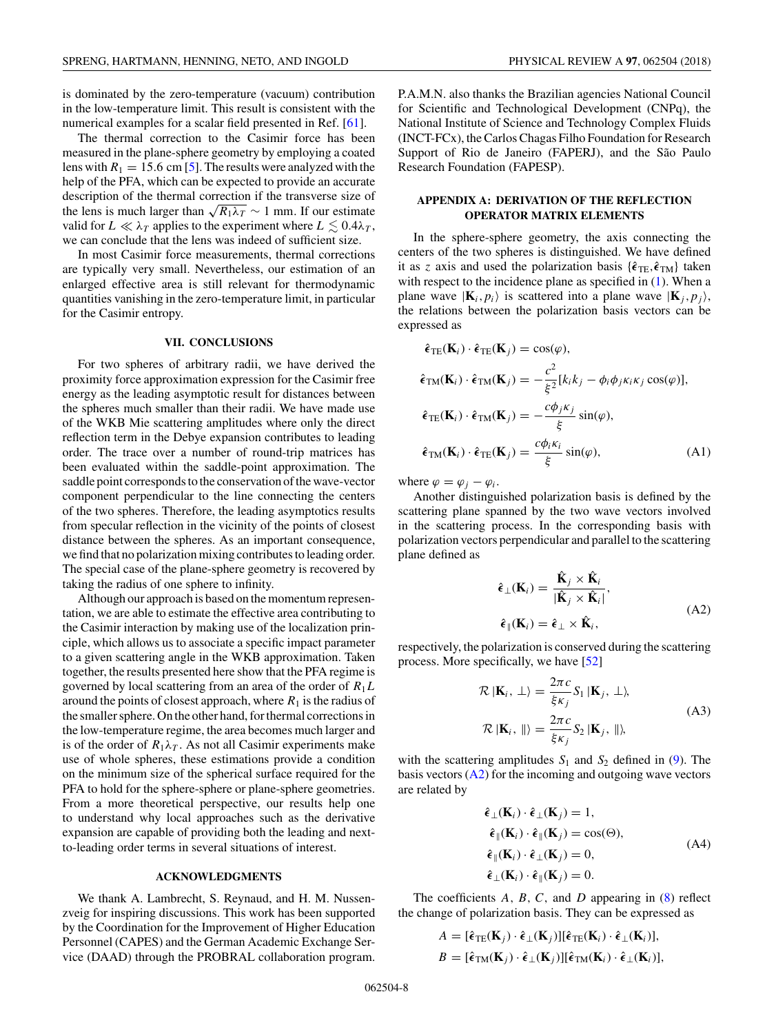<span id="page-7-0"></span>is dominated by the zero-temperature (vacuum) contribution in the low-temperature limit. This result is consistent with the numerical examples for a scalar field presented in Ref. [\[61\]](#page-10-0).

The thermal correction to the Casimir force has been measured in the plane-sphere geometry by employing a coated lens with  $R_1 = 15.6$  cm [\[5\]](#page-9-0). The results were analyzed with the help of the PFA, which can be expected to provide an accurate description of the thermal correction if the transverse size of the lens is much larger than  $\sqrt{R_1 \lambda_T} \sim 1$  mm. If our estimate valid for  $L \ll \lambda_T$  applies to the experiment where  $L \lesssim 0.4\lambda_T$ , we can conclude that the lens was indeed of sufficient size.

In most Casimir force measurements, thermal corrections are typically very small. Nevertheless, our estimation of an enlarged effective area is still relevant for thermodynamic quantities vanishing in the zero-temperature limit, in particular for the Casimir entropy.

## **VII. CONCLUSIONS**

For two spheres of arbitrary radii, we have derived the proximity force approximation expression for the Casimir free energy as the leading asymptotic result for distances between the spheres much smaller than their radii. We have made use of the WKB Mie scattering amplitudes where only the direct reflection term in the Debye expansion contributes to leading order. The trace over a number of round-trip matrices has been evaluated within the saddle-point approximation. The saddle point corresponds to the conservation of the wave-vector component perpendicular to the line connecting the centers of the two spheres. Therefore, the leading asymptotics results from specular reflection in the vicinity of the points of closest distance between the spheres. As an important consequence, we find that no polarization mixing contributes to leading order. The special case of the plane-sphere geometry is recovered by taking the radius of one sphere to infinity.

Although our approach is based on the momentum representation, we are able to estimate the effective area contributing to the Casimir interaction by making use of the localization principle, which allows us to associate a specific impact parameter to a given scattering angle in the WKB approximation. Taken together, the results presented here show that the PFA regime is governed by local scattering from an area of the order of *R*1*L* around the points of closest approach, where  $R_1$  is the radius of the smaller sphere. On the other hand, for thermal corrections in the low-temperature regime, the area becomes much larger and is of the order of  $R_1\lambda_T$ . As not all Casimir experiments make use of whole spheres, these estimations provide a condition on the minimum size of the spherical surface required for the PFA to hold for the sphere-sphere or plane-sphere geometries. From a more theoretical perspective, our results help one to understand why local approaches such as the derivative expansion are capable of providing both the leading and nextto-leading order terms in several situations of interest.

## **ACKNOWLEDGMENTS**

We thank A. Lambrecht, S. Reynaud, and H. M. Nussenzveig for inspiring discussions. This work has been supported by the Coordination for the Improvement of Higher Education Personnel (CAPES) and the German Academic Exchange Service (DAAD) through the PROBRAL collaboration program.

P.A.M.N. also thanks the Brazilian agencies National Council for Scientific and Technological Development (CNPq), the National Institute of Science and Technology Complex Fluids (INCT-FCx), the Carlos Chagas Filho Foundation for Research Support of Rio de Janeiro (FAPERJ), and the São Paulo Research Foundation (FAPESP).

# **APPENDIX A: DERIVATION OF THE REFLECTION OPERATOR MATRIX ELEMENTS**

In the sphere-sphere geometry, the axis connecting the centers of the two spheres is distinguished. We have defined it as *z* axis and used the polarization basis  $\{\hat{\epsilon}_{\text{TE}}, \hat{\epsilon}_{\text{TM}}\}$  taken with respect to the incidence plane as specified in [\(1\)](#page-1-0). When a plane wave  $|\mathbf{K}_i, p_i\rangle$  is scattered into a plane wave  $|\mathbf{K}_i, p_i\rangle$ , the relations between the polarization basis vectors can be expressed as

$$
\hat{\epsilon}_{\text{TE}}(\mathbf{K}_{i}) \cdot \hat{\epsilon}_{\text{TE}}(\mathbf{K}_{j}) = \cos(\varphi),
$$
  
\n
$$
\hat{\epsilon}_{\text{TM}}(\mathbf{K}_{i}) \cdot \hat{\epsilon}_{\text{TM}}(\mathbf{K}_{j}) = -\frac{c^{2}}{\xi^{2}}[k_{i}k_{j} - \phi_{i}\phi_{j}\kappa_{i}\kappa_{j}\cos(\varphi)],
$$
  
\n
$$
\hat{\epsilon}_{\text{TE}}(\mathbf{K}_{i}) \cdot \hat{\epsilon}_{\text{TM}}(\mathbf{K}_{j}) = -\frac{c\phi_{j}\kappa_{j}}{\xi}\sin(\varphi),
$$
  
\n
$$
\hat{\epsilon}_{\text{TM}}(\mathbf{K}_{i}) \cdot \hat{\epsilon}_{\text{TE}}(\mathbf{K}_{j}) = \frac{c\phi_{i}\kappa_{i}}{\xi}\sin(\varphi),
$$
\n(A1)

where  $\varphi = \varphi_i - \varphi_i$ .

Another distinguished polarization basis is defined by the scattering plane spanned by the two wave vectors involved in the scattering process. In the corresponding basis with polarization vectors perpendicular and parallel to the scattering plane defined as

$$
\hat{\epsilon}_{\perp}(\mathbf{K}_{i}) = \frac{\hat{\mathbf{K}}_{j} \times \hat{\mathbf{K}}_{i}}{|\hat{\mathbf{K}}_{j} \times \hat{\mathbf{K}}_{i}|},
$$
\n
$$
\hat{\epsilon}_{\parallel}(\mathbf{K}_{i}) = \hat{\epsilon}_{\perp} \times \hat{\mathbf{K}}_{i},
$$
\n(A2)

respectively, the polarization is conserved during the scattering process. More specifically, we have [\[52\]](#page-10-0)

$$
\mathcal{R} \left| \mathbf{K}_{i}, \perp \right\rangle = \frac{2\pi c}{\xi \kappa_{j}} S_{1} \left| \mathbf{K}_{j}, \perp \right\rangle,
$$
\n
$$
\mathcal{R} \left| \mathbf{K}_{i}, \parallel \right\rangle = \frac{2\pi c}{\xi \kappa_{j}} S_{2} \left| \mathbf{K}_{j}, \parallel \right\rangle,
$$
\n(A3)

with the scattering amplitudes  $S_1$  and  $S_2$  defined in [\(9\)](#page-2-0). The basis vectors  $(A2)$  for the incoming and outgoing wave vectors are related by

$$
\hat{\epsilon}_{\perp}(\mathbf{K}_{i}) \cdot \hat{\epsilon}_{\perp}(\mathbf{K}_{j}) = 1,\n\hat{\epsilon}_{\parallel}(\mathbf{K}_{i}) \cdot \hat{\epsilon}_{\parallel}(\mathbf{K}_{j}) = \cos(\Theta),\n\hat{\epsilon}_{\parallel}(\mathbf{K}_{i}) \cdot \hat{\epsilon}_{\perp}(\mathbf{K}_{j}) = 0,\n\hat{\epsilon}_{\perp}(\mathbf{K}_{i}) \cdot \hat{\epsilon}_{\parallel}(\mathbf{K}_{j}) = 0.
$$
\n(A4)

The coefficients *A, B, C,* and *D* appearing in [\(8\)](#page-2-0) reflect the change of polarization basis. They can be expressed as

$$
A = [\hat{\epsilon}_{\text{TE}}(\mathbf{K}_j) \cdot \hat{\epsilon}_{\perp}(\mathbf{K}_j)][\hat{\epsilon}_{\text{TE}}(\mathbf{K}_i) \cdot \hat{\epsilon}_{\perp}(\mathbf{K}_i)],
$$
  

$$
B = [\hat{\epsilon}_{\text{TM}}(\mathbf{K}_j) \cdot \hat{\epsilon}_{\perp}(\mathbf{K}_j)][\hat{\epsilon}_{\text{TM}}(\mathbf{K}_i) \cdot \hat{\epsilon}_{\perp}(\mathbf{K}_i)],
$$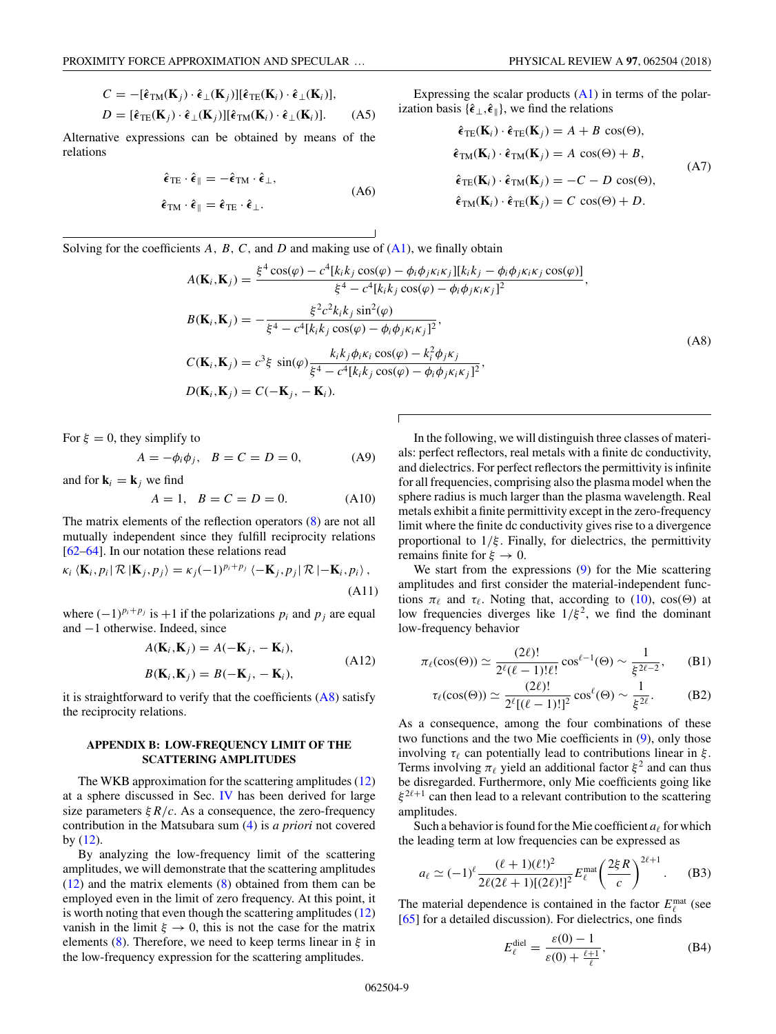<span id="page-8-0"></span>
$$
C = -[\hat{\epsilon}_{\text{TM}}(\mathbf{K}_j) \cdot \hat{\epsilon}_{\perp}(\mathbf{K}_j)][\hat{\epsilon}_{\text{TE}}(\mathbf{K}_i) \cdot \hat{\epsilon}_{\perp}(\mathbf{K}_i)],
$$
  
\n
$$
D = [\hat{\epsilon}_{\text{TE}}(\mathbf{K}_j) \cdot \hat{\epsilon}_{\perp}(\mathbf{K}_j)][\hat{\epsilon}_{\text{TM}}(\mathbf{K}_i) \cdot \hat{\epsilon}_{\perp}(\mathbf{K}_i)].
$$
 (A5)

Alternative expressions can be obtained by means of the relations

$$
\hat{\epsilon}_{\text{TE}} \cdot \hat{\epsilon}_{\parallel} = -\hat{\epsilon}_{\text{TM}} \cdot \hat{\epsilon}_{\perp},
$$
\n(A6)

$$
\hat{\boldsymbol{\epsilon}}_{\mathrm{TM}}\cdot\hat{\boldsymbol{\epsilon}}_{\parallel}=\hat{\boldsymbol{\epsilon}}_{\mathrm{TE}}\cdot\hat{\boldsymbol{\epsilon}}_{\perp}.
$$

Expressing the scalar products  $(A1)$  in terms of the polar-

ization basis {
$$
\hat{\epsilon}_{\perp}
$$
,  $\hat{\epsilon}_{\parallel}$ }, we find the relations  
\n
$$
êTE(Ki) ⋅ êTE(Kj) = A + B cos(Θ),
$$
\n
$$
êTM(Ki) ⋅ êTM(Kj) = A cos(Θ) + B,
$$
\n
$$
êTE(Ki) ⋅ êTM(Kj) = -C - D cos(Θ),
$$
\n
$$
êTM(Ki) ⋅ êTE(Kj) = C cos(Θ) + D.
$$
\n(A7)

Solving for the coefficients *A*, *B*, *C*, and *D* and making use of [\(A1\)](#page-7-0), we finally obtain

$$
A(\mathbf{K}_i, \mathbf{K}_j) = \frac{\xi^4 \cos(\varphi) - c^4[k_i k_j \cos(\varphi) - \phi_i \phi_j \kappa_i \kappa_j][k_i k_j - \phi_i \phi_j \kappa_i \kappa_j \cos(\varphi)]}{\xi^4 - c^4[k_i k_j \cos(\varphi) - \phi_i \phi_j \kappa_i \kappa_j]^2},
$$
  
\n
$$
B(\mathbf{K}_i, \mathbf{K}_j) = -\frac{\xi^2 c^2 k_i k_j \sin^2(\varphi)}{\xi^4 - c^4[k_i k_j \cos(\varphi) - \phi_i \phi_j \kappa_i \kappa_j]^2},
$$
  
\n
$$
C(\mathbf{K}_i, \mathbf{K}_j) = c^3 \xi \sin(\varphi) \frac{k_i k_j \phi_i \kappa_i \cos(\varphi) - k_i^2 \phi_j \kappa_j}{\xi^4 - c^4[k_i k_j \cos(\varphi) - \phi_i \phi_j \kappa_i \kappa_j]^2},
$$
  
\n
$$
D(\mathbf{K}_i, \mathbf{K}_j) = C(-\mathbf{K}_j, -\mathbf{K}_i).
$$
  
\n(A8)

 $\overline{1}$ 

For  $\xi = 0$ , they simplify to

$$
A = -\phi_i \phi_j, \quad B = C = D = 0,\tag{A9}
$$

and for  $\mathbf{k}_i = \mathbf{k}_j$  we find

$$
A = 1, \quad B = C = D = 0. \tag{A10}
$$

The matrix elements of the reflection operators [\(8\)](#page-2-0) are not all mutually independent since they fulfill reciprocity relations [\[62–64\]](#page-10-0). In our notation these relations read

$$
\kappa_i \langle \mathbf{K}_i, p_i | \mathcal{R} | \mathbf{K}_j, p_j \rangle = \kappa_j (-1)^{p_i + p_j} \langle -\mathbf{K}_j, p_j | \mathcal{R} | -\mathbf{K}_i, p_i \rangle,
$$
\n(A11)

where  $(-1)^{p_i+p_j}$  is  $+1$  if the polarizations  $p_i$  and  $p_j$  are equal and −1 otherwise. Indeed, since

$$
A(\mathbf{K}_i, \mathbf{K}_j) = A(-\mathbf{K}_j, -\mathbf{K}_i),
$$
  
\n
$$
B(\mathbf{K}_i, \mathbf{K}_j) = B(-\mathbf{K}_j, -\mathbf{K}_i),
$$
\n(A12)

it is straightforward to verify that the coefficients  $(A8)$  satisfy the reciprocity relations.

# **APPENDIX B: LOW-FREQUENCY LIMIT OF THE SCATTERING AMPLITUDES**

The WKB approximation for the scattering amplitudes [\(12\)](#page-3-0) at a sphere discussed in Sec. [IV](#page-3-0) has been derived for large size parameters  $\frac{\xi R}{c}$ . As a consequence, the zero-frequency contribution in the Matsubara sum [\(4\)](#page-2-0) is *a priori* not covered by  $(12)$ .

By analyzing the low-frequency limit of the scattering amplitudes, we will demonstrate that the scattering amplitudes [\(12\)](#page-3-0) and the matrix elements [\(8\)](#page-2-0) obtained from them can be employed even in the limit of zero frequency. At this point, it is worth noting that even though the scattering amplitudes [\(12\)](#page-3-0) vanish in the limit  $\xi \to 0$ , this is not the case for the matrix elements [\(8\)](#page-2-0). Therefore, we need to keep terms linear in *ξ* in the low-frequency expression for the scattering amplitudes.

In the following, we will distinguish three classes of materials: perfect reflectors, real metals with a finite dc conductivity, and dielectrics. For perfect reflectors the permittivity is infinite for all frequencies, comprising also the plasma model when the sphere radius is much larger than the plasma wavelength. Real metals exhibit a finite permittivity except in the zero-frequency limit where the finite dc conductivity gives rise to a divergence proportional to 1*/ξ* . Finally, for dielectrics, the permittivity remains finite for  $\xi \to 0$ .

We start from the expressions [\(9\)](#page-2-0) for the Mie scattering amplitudes and first consider the material-independent functions  $\pi_{\ell}$  and  $\tau_{\ell}$ . Noting that, according to [\(10\)](#page-2-0), cos( $\Theta$ ) at low frequencies diverges like  $1/\xi^2$ , we find the dominant low-frequency behavior

$$
\pi_{\ell}(\cos(\Theta)) \simeq \frac{(2\ell)!}{2^{\ell}(\ell-1)!\ell!} \cos^{\ell-1}(\Theta) \sim \frac{1}{\xi^{2\ell-2}}, \qquad (B1)
$$

$$
\tau_{\ell}(\cos(\Theta)) \simeq \frac{(2\ell)!}{2^{\ell}[(\ell-1)!]^2} \cos^{\ell}(\Theta) \sim \frac{1}{\xi^{2\ell}}.
$$
 (B2)

As a consequence, among the four combinations of these two functions and the two Mie coefficients in [\(9\)](#page-2-0), only those involving  $\tau_{\ell}$  can potentially lead to contributions linear in  $\xi$ . Terms involving  $\pi_{\ell}$  yield an additional factor  $\xi^2$  and can thus be disregarded. Furthermore, only Mie coefficients going like  $\xi^{2\ell+1}$  can then lead to a relevant contribution to the scattering amplitudes.

Such a behavior is found for the Mie coefficient  $a_{\ell}$  for which the leading term at low frequencies can be expressed as

$$
a_{\ell} \simeq (-1)^{\ell} \frac{(\ell+1)(\ell!)^2}{2\ell(2\ell+1)[(2\ell)!]^2} E_{\ell}^{\text{mat}} \left(\frac{2\xi R}{c}\right)^{2\ell+1}.
$$
 (B3)

The material dependence is contained in the factor  $E_{\ell}^{\text{mat}}$  (see [\[65\]](#page-10-0) for a detailed discussion). For dielectrics, one finds

$$
E_{\ell}^{\text{diel}} = \frac{\varepsilon(0) - 1}{\varepsilon(0) + \frac{\ell + 1}{\ell}},\tag{B4}
$$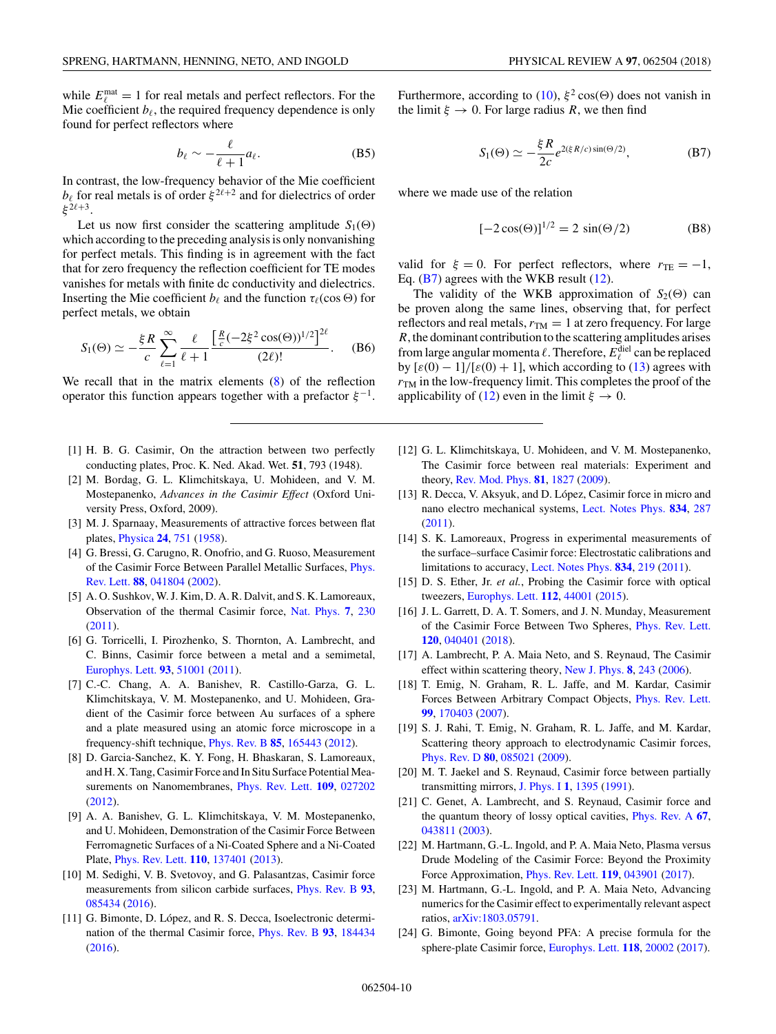<span id="page-9-0"></span>while  $E_{\ell}^{\text{mat}} = 1$  for real metals and perfect reflectors. For the Mie coefficient  $b_{\ell}$ , the required frequency dependence is only found for perfect reflectors where

$$
b_{\ell} \sim -\frac{\ell}{\ell+1} a_{\ell}.\tag{B5}
$$

In contrast, the low-frequency behavior of the Mie coefficient  $b_{\ell}$  for real metals is of order  $\xi^{2\ell+2}$  and for dielectrics of order *ξ* <sup>2</sup><sup>+</sup>3.

Let us now first consider the scattering amplitude  $S_1(\Theta)$ which according to the preceding analysis is only nonvanishing for perfect metals. This finding is in agreement with the fact that for zero frequency the reflection coefficient for TE modes vanishes for metals with finite dc conductivity and dielectrics. Inserting the Mie coefficient  $b_{\ell}$  and the function  $\tau_{\ell}(\cos \Theta)$  for perfect metals, we obtain

$$
S_1(\Theta) \simeq -\frac{\xi R}{c} \sum_{\ell=1}^{\infty} \frac{\ell}{\ell+1} \frac{\left[\frac{R}{c}(-2\xi^2 \cos(\Theta))^{1/2}\right]^{2\ell}}{(2\ell)!}.
$$
 (B6)

We recall that in the matrix elements  $(8)$  of the reflection operator this function appears together with a prefactor  $\xi^{-1}$ .

- [1] H. B. G. Casimir, On the attraction between two perfectly conducting plates, Proc. K. Ned. Akad. Wet. **51**, 793 (1948).
- [2] M. Bordag, G. L. Klimchitskaya, U. Mohideen, and V. M. Mostepanenko, *Advances in the Casimir Effect* (Oxford University Press, Oxford, 2009).
- [3] M. J. Sparnaay, Measurements of attractive forces between flat plates, [Physica](https://doi.org/10.1016/S0031-8914(58)80090-7) **[24](https://doi.org/10.1016/S0031-8914(58)80090-7)**, [751](https://doi.org/10.1016/S0031-8914(58)80090-7) [\(1958\)](https://doi.org/10.1016/S0031-8914(58)80090-7).
- [4] G. Bressi, G. Carugno, R. Onofrio, and G. Ruoso, Measurement [of the Casimir Force Between Parallel Metallic Surfaces,](https://doi.org/10.1103/PhysRevLett.88.041804) Phys. Rev. Lett. **[88](https://doi.org/10.1103/PhysRevLett.88.041804)**, [041804](https://doi.org/10.1103/PhysRevLett.88.041804) [\(2002\)](https://doi.org/10.1103/PhysRevLett.88.041804).
- [5] A. O. Sushkov, W. J. Kim, D. A. R. Dalvit, and S. K. Lamoreaux, Observation of the thermal Casimir force, [Nat. Phys.](https://doi.org/10.1038/nphys1909) **[7](https://doi.org/10.1038/nphys1909)**, [230](https://doi.org/10.1038/nphys1909) [\(2011\)](https://doi.org/10.1038/nphys1909).
- [6] G. Torricelli, I. Pirozhenko, S. Thornton, A. Lambrecht, and C. Binns, Casimir force between a metal and a semimetal, [Europhys. Lett.](https://doi.org/10.1209/0295-5075/93/51001) **[93](https://doi.org/10.1209/0295-5075/93/51001)**, [51001](https://doi.org/10.1209/0295-5075/93/51001) [\(2011\)](https://doi.org/10.1209/0295-5075/93/51001).
- [7] C.-C. Chang, A. A. Banishev, R. Castillo-Garza, G. L. Klimchitskaya, V. M. Mostepanenko, and U. Mohideen, Gradient of the Casimir force between Au surfaces of a sphere and a plate measured using an atomic force microscope in a frequency-shift technique, [Phys. Rev. B](https://doi.org/10.1103/PhysRevB.85.165443) **[85](https://doi.org/10.1103/PhysRevB.85.165443)**, [165443](https://doi.org/10.1103/PhysRevB.85.165443) [\(2012\)](https://doi.org/10.1103/PhysRevB.85.165443).
- [8] D. Garcia-Sanchez, K. Y. Fong, H. Bhaskaran, S. Lamoreaux, and H. X. Tang, Casimir Force and In Situ Surface Potential Measurements on Nanomembranes, [Phys. Rev. Lett.](https://doi.org/10.1103/PhysRevLett.109.027202) **[109](https://doi.org/10.1103/PhysRevLett.109.027202)**, [027202](https://doi.org/10.1103/PhysRevLett.109.027202) [\(2012\)](https://doi.org/10.1103/PhysRevLett.109.027202).
- [9] A. A. Banishev, G. L. Klimchitskaya, V. M. Mostepanenko, and U. Mohideen, Demonstration of the Casimir Force Between Ferromagnetic Surfaces of a Ni-Coated Sphere and a Ni-Coated Plate, [Phys. Rev. Lett.](https://doi.org/10.1103/PhysRevLett.110.137401) **[110](https://doi.org/10.1103/PhysRevLett.110.137401)**, [137401](https://doi.org/10.1103/PhysRevLett.110.137401) [\(2013\)](https://doi.org/10.1103/PhysRevLett.110.137401).
- [10] M. Sedighi, V. B. Svetovoy, and G. Palasantzas, Casimir force measurements from silicon carbide surfaces, [Phys. Rev. B](https://doi.org/10.1103/PhysRevB.93.085434) **[93](https://doi.org/10.1103/PhysRevB.93.085434)**, [085434](https://doi.org/10.1103/PhysRevB.93.085434) [\(2016\)](https://doi.org/10.1103/PhysRevB.93.085434).
- [11] G. Bimonte, D. López, and R. S. Decca, Isoelectronic determination of the thermal Casimir force, [Phys. Rev. B](https://doi.org/10.1103/PhysRevB.93.184434) **[93](https://doi.org/10.1103/PhysRevB.93.184434)**, [184434](https://doi.org/10.1103/PhysRevB.93.184434) [\(2016\)](https://doi.org/10.1103/PhysRevB.93.184434).

Furthermore, according to [\(10\)](#page-2-0),  $\xi^2$  cos( $\Theta$ ) does not vanish in the limit  $\xi \to 0$ . For large radius R, we then find

$$
S_1(\Theta) \simeq -\frac{\xi R}{2c} e^{2(\xi R/c)\sin(\Theta/2)},\tag{B7}
$$

where we made use of the relation

$$
[-2\cos(\Theta)]^{1/2} = 2\sin(\Theta/2)
$$
 (B8)

valid for  $\xi = 0$ . For perfect reflectors, where  $r_{\text{TE}} = -1$ , Eq.  $(B7)$  agrees with the WKB result  $(12)$ .

The validity of the WKB approximation of  $S_2(\Theta)$  can be proven along the same lines, observing that, for perfect reflectors and real metals,  $r_{TM} = 1$  at zero frequency. For large *R*, the dominant contribution to the scattering amplitudes arises from large angular momenta  $\ell$ . Therefore,  $E_{\ell}^{\text{diel}}$  can be replaced by  $[\varepsilon(0) - 1]/[\varepsilon(0) + 1]$ , which according to [\(13\)](#page-3-0) agrees with  $r_{TM}$  in the low-frequency limit. This completes the proof of the applicability of [\(12\)](#page-3-0) even in the limit  $\xi \to 0$ .

- [12] G. L. Klimchitskaya, U. Mohideen, and V. M. Mostepanenko, The Casimir force between real materials: Experiment and theory, [Rev. Mod. Phys.](https://doi.org/10.1103/RevModPhys.81.1827) **[81](https://doi.org/10.1103/RevModPhys.81.1827)**, [1827](https://doi.org/10.1103/RevModPhys.81.1827) [\(2009\)](https://doi.org/10.1103/RevModPhys.81.1827).
- [13] R. Decca, V. Aksyuk, and D. López, Casimir force in micro and nano electro mechanical systems, [Lect. Notes Phys.](https://doi.org/10.1007/978-3-642-20288-99) **[834](https://doi.org/10.1007/978-3-642-20288-99)**, [287](https://doi.org/10.1007/978-3-642-20288-99) [\(2011\)](https://doi.org/10.1007/978-3-642-20288-99).
- [14] S. K. Lamoreaux, Progress in experimental measurements of the surface–surface Casimir force: Electrostatic calibrations and limitations to accuracy, [Lect. Notes Phys.](https://doi.org/10.1007/978-3-642-20288-97) **[834](https://doi.org/10.1007/978-3-642-20288-97)**, [219](https://doi.org/10.1007/978-3-642-20288-97) [\(2011\)](https://doi.org/10.1007/978-3-642-20288-97).
- [15] D. S. Ether, Jr. *et al.*, Probing the Casimir force with optical tweezers, [Europhys. Lett.](https://doi.org/10.1209/0295-5075/112/44001) **[112](https://doi.org/10.1209/0295-5075/112/44001)**, [44001](https://doi.org/10.1209/0295-5075/112/44001) [\(2015\)](https://doi.org/10.1209/0295-5075/112/44001).
- [16] J. L. Garrett, D. A. T. Somers, and J. N. Munday, Measurement of the Casimir Force Between Two Spheres, [Phys. Rev. Lett.](https://doi.org/10.1103/PhysRevLett.120.040401) **[120](https://doi.org/10.1103/PhysRevLett.120.040401)**, [040401](https://doi.org/10.1103/PhysRevLett.120.040401) [\(2018\)](https://doi.org/10.1103/PhysRevLett.120.040401).
- [17] A. Lambrecht, P. A. Maia Neto, and S. Reynaud, The Casimir effect within scattering theory, [New J. Phys.](https://doi.org/10.1088/1367-2630/8/10/243) **[8](https://doi.org/10.1088/1367-2630/8/10/243)**, [243](https://doi.org/10.1088/1367-2630/8/10/243) [\(2006\)](https://doi.org/10.1088/1367-2630/8/10/243).
- [18] T. Emig, N. Graham, R. L. Jaffe, and M. Kardar, Casimir Forces Between Arbitrary Compact Objects, [Phys. Rev. Lett.](https://doi.org/10.1103/PhysRevLett.99.170403) **[99](https://doi.org/10.1103/PhysRevLett.99.170403)**, [170403](https://doi.org/10.1103/PhysRevLett.99.170403) [\(2007\)](https://doi.org/10.1103/PhysRevLett.99.170403).
- [19] S. J. Rahi, T. Emig, N. Graham, R. L. Jaffe, and M. Kardar, Scattering theory approach to electrodynamic Casimir forces, [Phys. Rev. D](https://doi.org/10.1103/PhysRevD.80.085021) **[80](https://doi.org/10.1103/PhysRevD.80.085021)**, [085021](https://doi.org/10.1103/PhysRevD.80.085021) [\(2009\)](https://doi.org/10.1103/PhysRevD.80.085021).
- [20] M. T. Jaekel and S. Reynaud, Casimir force between partially transmitting mirrors, [J. Phys. I](https://doi.org/10.1051/jp1:1991216) **[1](https://doi.org/10.1051/jp1:1991216)**, [1395](https://doi.org/10.1051/jp1:1991216) [\(1991\)](https://doi.org/10.1051/jp1:1991216).
- [21] C. Genet, A. Lambrecht, and S. Reynaud, Casimir force and the quantum theory of lossy optical cavities, [Phys. Rev. A](https://doi.org/10.1103/PhysRevA.67.043811) **[67](https://doi.org/10.1103/PhysRevA.67.043811)**, [043811](https://doi.org/10.1103/PhysRevA.67.043811) [\(2003\)](https://doi.org/10.1103/PhysRevA.67.043811).
- [22] M. Hartmann, G.-L. Ingold, and P. A. Maia Neto, Plasma versus Drude Modeling of the Casimir Force: Beyond the Proximity Force Approximation, [Phys. Rev. Lett.](https://doi.org/10.1103/PhysRevLett.119.043901) **[119](https://doi.org/10.1103/PhysRevLett.119.043901)**, [043901](https://doi.org/10.1103/PhysRevLett.119.043901) [\(2017\)](https://doi.org/10.1103/PhysRevLett.119.043901).
- [23] M. Hartmann, G.-L. Ingold, and P. A. Maia Neto, Advancing numerics for the Casimir effect to experimentally relevant aspect ratios, [arXiv:1803.05791.](http://arxiv.org/abs/arXiv:1803.05791)
- [24] G. Bimonte, Going beyond PFA: A precise formula for the sphere-plate Casimir force, [Europhys. Lett.](https://doi.org/10.1209/0295-5075/118/20002) **[118](https://doi.org/10.1209/0295-5075/118/20002)**, [20002](https://doi.org/10.1209/0295-5075/118/20002) [\(2017\)](https://doi.org/10.1209/0295-5075/118/20002).